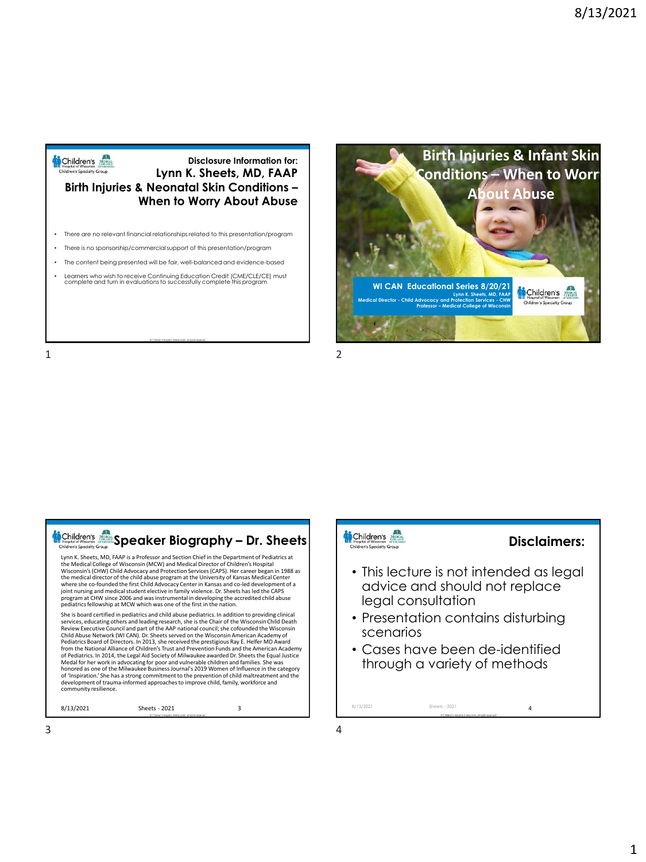

#### **Disclosure Information for: Lynn K. Sheets, MD, FAAP Birth Injuries & Neonatal Skin Conditions – When to Worry About Abuse**

- There are no relevant financial relationships related to this presentation/program
- There is no sponsorship/commercial support of this presentation/program
- The content being presented will be fair, well-balanced and evidence-based
- Learners who wish to receive Continuing Education Credit (CME/CLE/CE) must<br>complete and turn in evaluations to successfully complete this program

1 2





## Children's and

### **Disclaimers:**

- This lecture is not intended as legal advice and should not replace legal consultation
- Presentation contains disturbing scenarios
- Cases have been de-identified through a variety of methods

8/13/2021 Sheets - 2021 4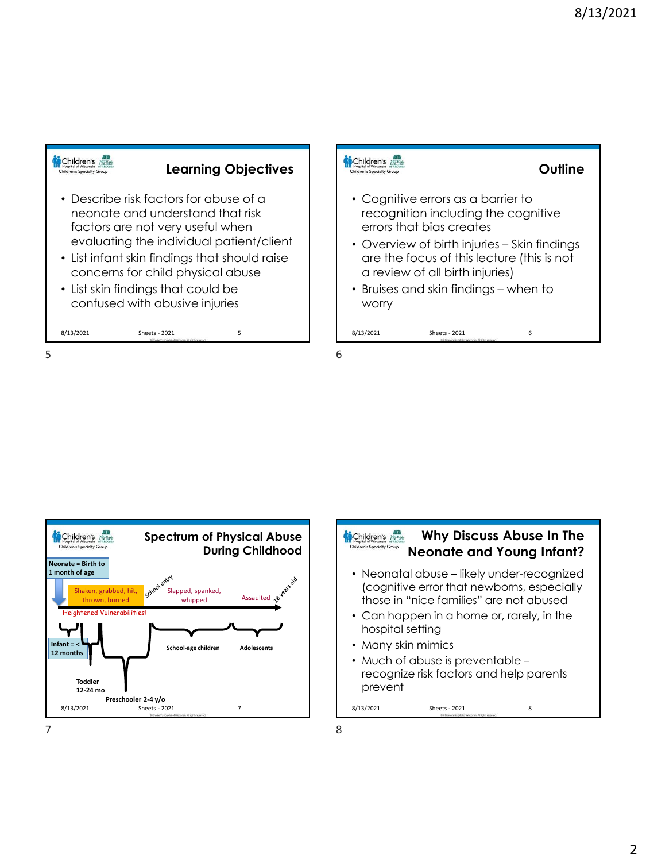



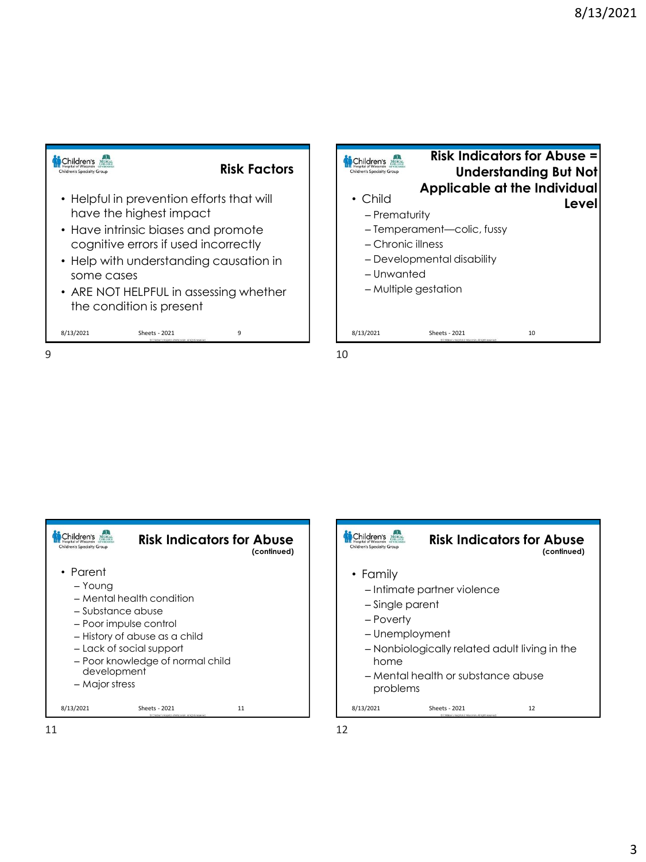







 $11$  12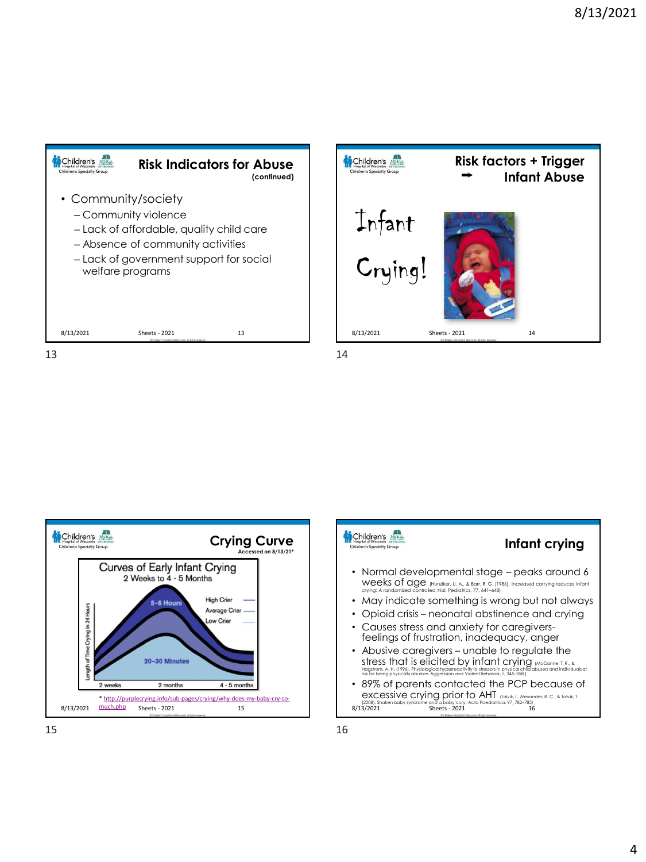







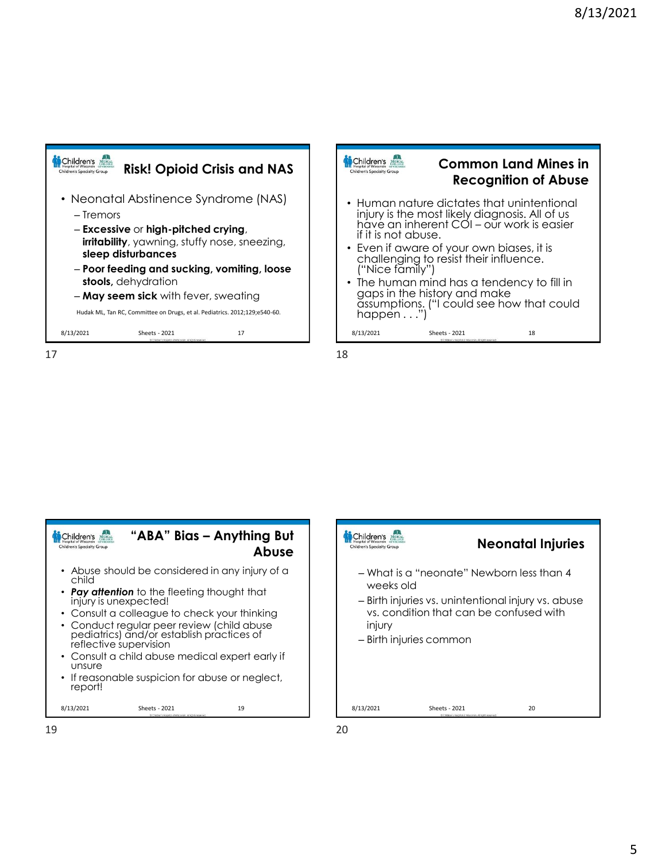





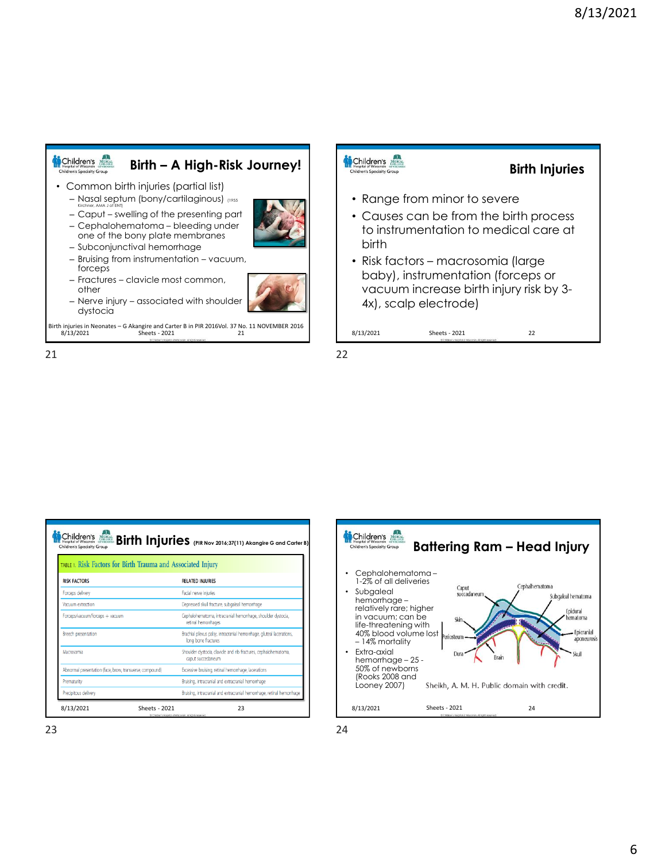

#### Children's **Birth Injuries Children's Specialty Group** • Range from minor to severe • Causes can be from the birth process to instrumentation to medical care at birth • Risk factors – macrosomia (large baby), instrumentation (forceps or vacuum increase birth injury risk by 3- 4x), scalp electrode) 8/13/2021 Sheets - 2021 22 Sheets - 2021





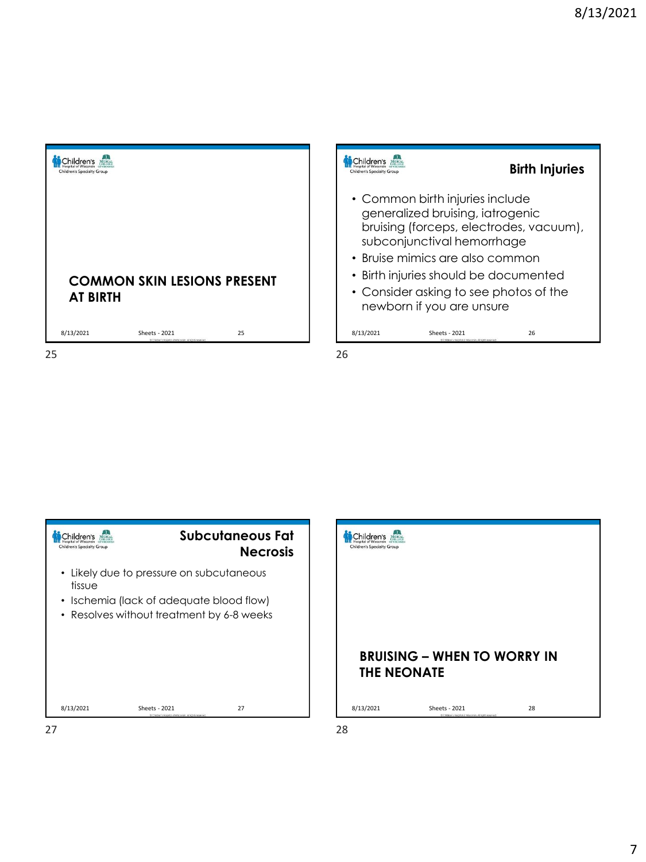| <b>Children's Specialty Group</b> |                                                                           |    |    |
|-----------------------------------|---------------------------------------------------------------------------|----|----|
| <b>AT BIRTH</b>                   | <b>COMMON SKIN LESIONS PRESENT</b>                                        |    |    |
| 8/13/2021                         | Sheets - 2021<br>@ Children's Hospital of Wisconsin, All rights reserved. | 25 |    |
| 25                                |                                                                           |    | 26 |

| Children's Specialty Group |                                                                                                   | <b>Birth Injuries</b>                                          |
|----------------------------|---------------------------------------------------------------------------------------------------|----------------------------------------------------------------|
|                            | • Common birth injuries include<br>generalized bruising, iatrogenic<br>subconjunctival hemorrhage | bruising (forceps, electrodes, vacuum),                        |
|                            | • Bruise mimics are also common                                                                   |                                                                |
|                            | • Birth injuries should be documented                                                             |                                                                |
|                            | • Consider asking to see photos of the<br>newborn if you are unsure                               |                                                                |
| 8/13/2021                  | <b>Sheets - 2021</b>                                                                              | 26<br>@ Children's Hospital of Wisconsin, All rights reserved. |

Children's **Subcutaneous Fat Necrosis** • Likely due to pressure on subcutaneous tissue • Ischemia (lack of adequate blood flow) • Resolves without treatment by 6-8 weeks 8/13/2021 Sheets - 2021 27

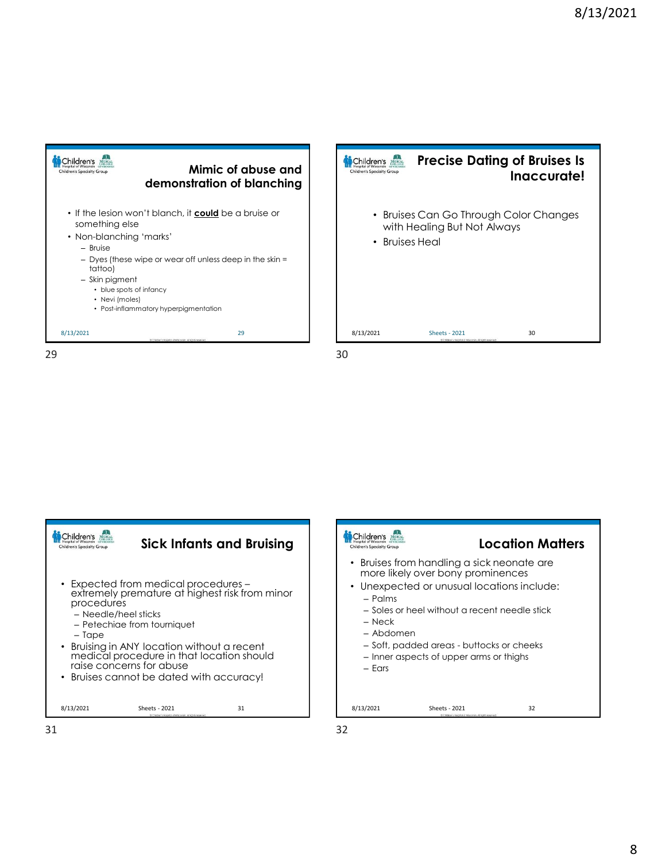



Children's A **Sick Infants and Bruising** en's Spi • Expected from medical procedures – extremely premature at highest risk from minor procedures – Needle/heel sticks – Petechiae from tourniquet – Tape • Bruising in ANY location without a recent medical procedure in that location should raise concerns for abuse • Bruises cannot be dated with accuracy! 8/13/2021 Sheets - 2021 31 31 32



- Palms
- Soles or heel without a recent needle stick
- Neck
- Abdomen
- Soft, padded areas buttocks or cheeks
- Inner aspects of upper arms or thighs
- Ears

8/13/2021 Sheets - 2021 32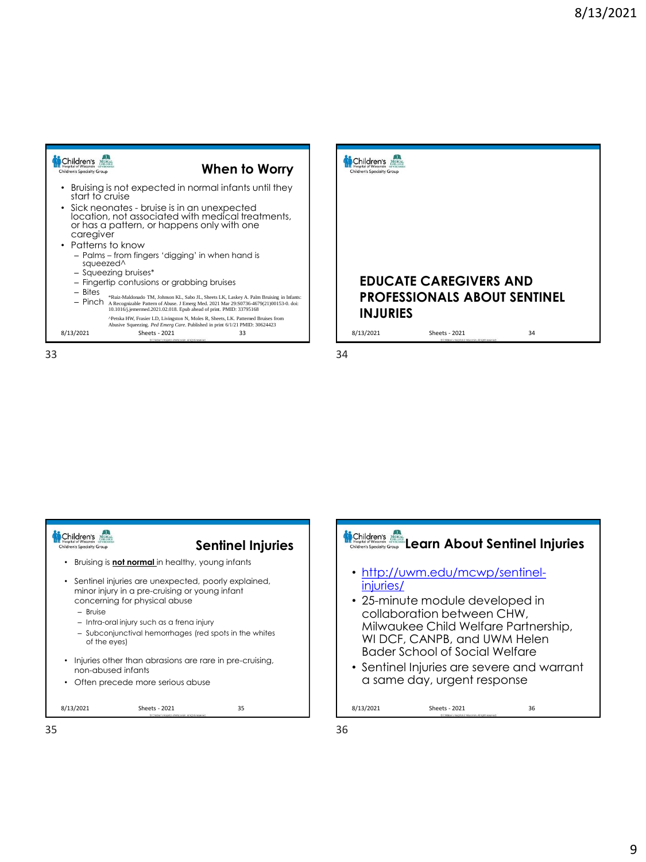| Children's Specialty Group                                                                                                                                  |                                                                                                                                                                        | When to Worry                                                                                              | Children's Specialty Grou |  |
|-------------------------------------------------------------------------------------------------------------------------------------------------------------|------------------------------------------------------------------------------------------------------------------------------------------------------------------------|------------------------------------------------------------------------------------------------------------|---------------------------|--|
| start to cruise<br>caregiver<br>• Patterns to know<br>squeezed <sup>^</sup>                                                                                 | • Sick neonates - bruise is in an unexpected<br>or has a pattern, or happens only with one<br>- Palms - from fingers 'digging' in when hand is<br>- Squeezing bruises* | Bruising is not expected in normal infants until they<br>location, not associated with medical treatments, |                           |  |
| - Fingertip contusions or grabbing bruises<br>$-$ Bites<br>- Pinch<br>A Recognizable Pattern of Abuse. J Emerg Med. 2021 Mar 29:S0736-4679(21)00153-0. doi: | <b>EDUC</b><br><b>PROFI</b><br><b>INJUR</b>                                                                                                                            |                                                                                                            |                           |  |
| 8/13/2021                                                                                                                                                   | <b>Sheets - 2021</b><br>Children's Hospital of Wisconsin, All rights reserved                                                                                          | 33                                                                                                         | 8/13/2021                 |  |
| 33                                                                                                                                                          |                                                                                                                                                                        |                                                                                                            | 34                        |  |







35 36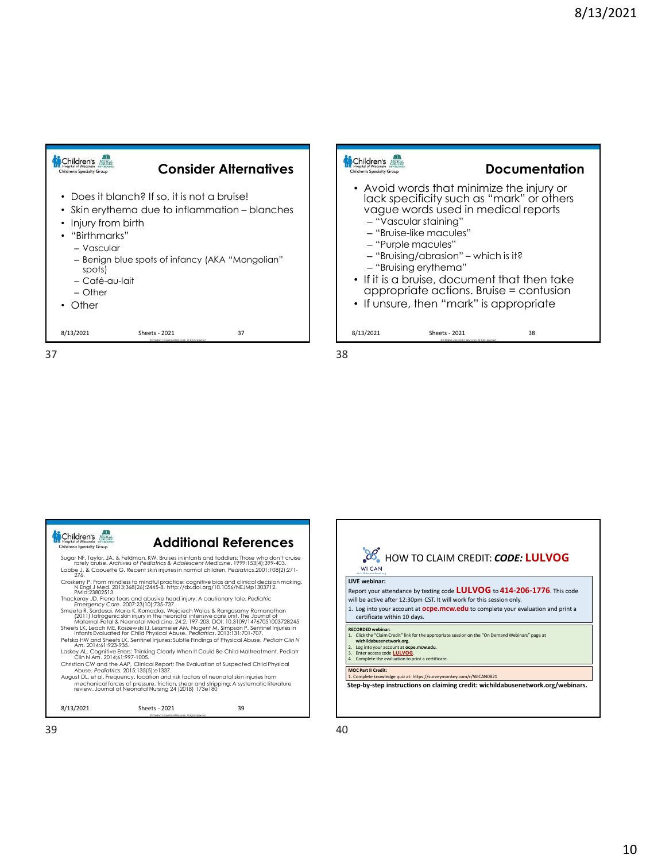**Documentation**